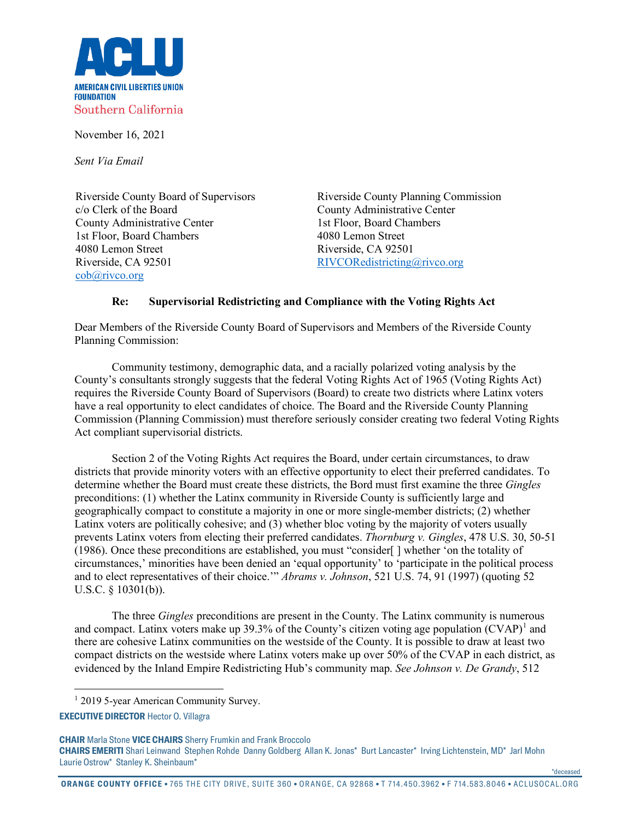

November 16, 2021

*Sent Via Email*

Riverside County Board of Supervisors c/o Clerk of the Board County Administrative Center 1st Floor, Board Chambers 4080 Lemon Street Riverside, CA 92501 [cob@rivco.org](mailto:cob@rivco.org)

Riverside County Planning Commission County Administrative Center 1st Floor, Board Chambers 4080 Lemon Street Riverside, CA 92501 [RIVCORedistricting@rivco.org](mailto:RIVCORedistricting@rivco.org)

## **Re: Supervisorial Redistricting and Compliance with the Voting Rights Act**

Dear Members of the Riverside County Board of Supervisors and Members of the Riverside County Planning Commission:

Community testimony, demographic data, and a racially polarized voting analysis by the County's consultants strongly suggests that the federal Voting Rights Act of 1965 (Voting Rights Act) requires the Riverside County Board of Supervisors (Board) to create two districts where Latinx voters have a real opportunity to elect candidates of choice. The Board and the Riverside County Planning Commission (Planning Commission) must therefore seriously consider creating two federal Voting Rights Act compliant supervisorial districts.

Section 2 of the Voting Rights Act requires the Board, under certain circumstances, to draw districts that provide minority voters with an effective opportunity to elect their preferred candidates. To determine whether the Board must create these districts, the Bord must first examine the three *Gingles* preconditions: (1) whether the Latinx community in Riverside County is sufficiently large and geographically compact to constitute a majority in one or more single-member districts; (2) whether Latinx voters are politically cohesive; and (3) whether bloc voting by the majority of voters usually prevents Latinx voters from electing their preferred candidates. *Thornburg v. Gingles*, 478 U.S. 30, 50-51 (1986). Once these preconditions are established, you must "consider[ ] whether 'on the totality of circumstances,' minorities have been denied an 'equal opportunity' to 'participate in the political process and to elect representatives of their choice.'" *Abrams v. Johnson*, 521 U.S. 74, 91 (1997) (quoting 52 U.S.C. § 10301(b)).

The three *Gingles* preconditions are present in the County. The Latinx community is numerous and compact. Latinx voters make up 39.3% of the County's citizen voting age population  $(CVAP)^{1}$  $(CVAP)^{1}$  $(CVAP)^{1}$  and there are cohesive Latinx communities on the westside of the County. It is possible to draw at least two compact districts on the westside where Latinx voters make up over 50% of the CVAP in each district, as evidenced by the Inland Empire Redistricting Hub's community map. *See Johnson v. De Grandy*, 512

<sup>1</sup> 2019 5-year American Community Survey.

**CHAIR** Marla Stone **VICE CHAIRS** Sherry Frumkin and Frank Broccolo **CHAIRS EMERITI** Shari Leinwand Stephen Rohde Danny Goldberg Allan K. Jonas\* Burt Lancaster\* Irving Lichtenstein, MD\* Jarl Mohn Laurie Ostrow\* Stanley K. Sheinbaum\*

**ORANGE COUNTY OFFICE** • 765 THE CITY DRIVE, SUITE 360 • ORANGE, CA 92868 • T 714.450.3962 • F 714.583.8046 • ACLUSOCAL.ORG

\*deceased

<span id="page-0-0"></span>**EXECUTIVE DIRECTOR** Hector O. Villagra